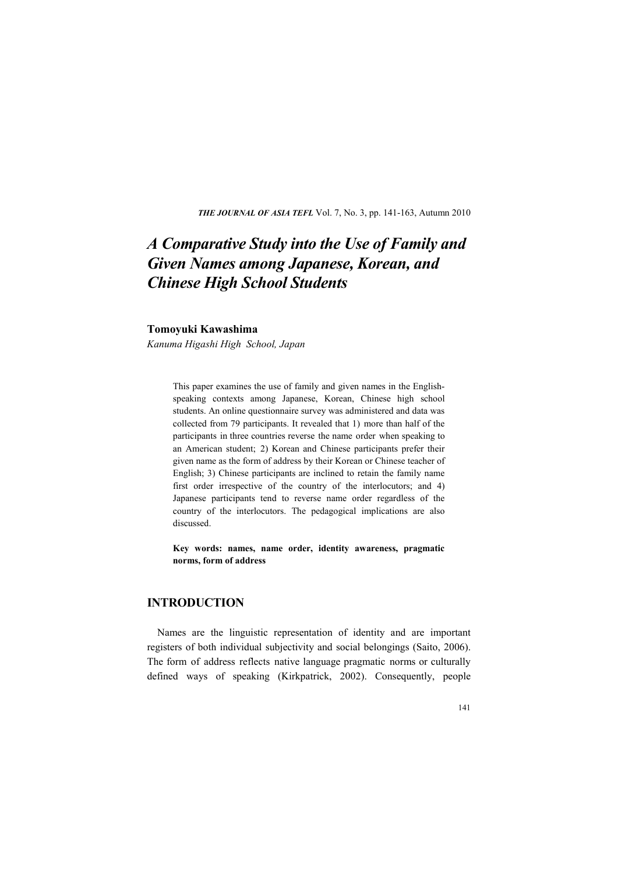*THE JOUR AL OF ASIA TEFL* Vol. 7, No. 3, pp. 141-163, Autumn 2010

# *A Comparative Study into the Use of Family and*  **Given Names among Japanese, Korean, and** *Chinese High School Students*

### **Tomoyuki Kawashima**

*Kanuma Higashi High School, Japan* 

This paper examines the use of family and given names in the Englishspeaking contexts among Japanese, Korean, Chinese high school students. An online questionnaire survey was administered and data was collected from 79 participants. It revealed that 1) more than half of the participants in three countries reverse the name order when speaking to an American student; 2) Korean and Chinese participants prefer their given name as the form of address by their Korean or Chinese teacher of English; 3) Chinese participants are inclined to retain the family name first order irrespective of the country of the interlocutors; and 4) Japanese participants tend to reverse name order regardless of the country of the interlocutors. The pedagogical implications are also discussed.

**Key words: names, name order, identity awareness, pragmatic norms, form of address** 

# **INTRODUCTION**

Names are the linguistic representation of identity and are important registers of both individual subjectivity and social belongings (Saito, 2006). The form of address reflects native language pragmatic norms or culturally defined ways of speaking (Kirkpatrick, 2002). Consequently, people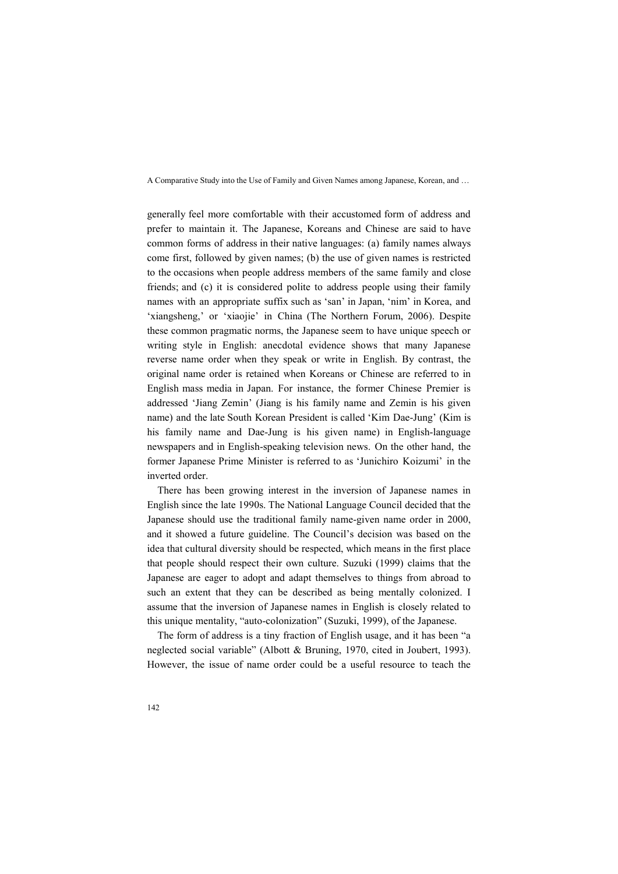generally feel more comfortable with their accustomed form of address and prefer to maintain it. The Japanese, Koreans and Chinese are said to have common forms of address in their native languages: (a) family names always come first, followed by given names; (b) the use of given names is restricted to the occasions when people address members of the same family and close friends; and (c) it is considered polite to address people using their family names with an appropriate suffix such as 'san' in Japan, 'nim' in Korea, and 'xiangsheng,' or 'xiaojie' in China (The Northern Forum, 2006). Despite these common pragmatic norms, the Japanese seem to have unique speech or writing style in English: anecdotal evidence shows that many Japanese reverse name order when they speak or write in English. By contrast, the original name order is retained when Koreans or Chinese are referred to in English mass media in Japan. For instance, the former Chinese Premier is addressed 'Jiang Zemin' (Jiang is his family name and Zemin is his given name) and the late South Korean President is called 'Kim Dae-Jung' (Kim is his family name and Dae-Jung is his given name) in English-language newspapers and in English-speaking television news. On the other hand, the former Japanese Prime Minister is referred to as 'Junichiro Koizumi' in the inverted order.

There has been growing interest in the inversion of Japanese names in English since the late 1990s. The National Language Council decided that the Japanese should use the traditional family name-given name order in 2000, and it showed a future guideline. The Council's decision was based on the idea that cultural diversity should be respected, which means in the first place that people should respect their own culture. Suzuki (1999) claims that the Japanese are eager to adopt and adapt themselves to things from abroad to such an extent that they can be described as being mentally colonized. I assume that the inversion of Japanese names in English is closely related to this unique mentality, "auto-colonization" (Suzuki, 1999), of the Japanese.

The form of address is a tiny fraction of English usage, and it has been "a neglected social variable" (Albott & Bruning, 1970, cited in Joubert, 1993). However, the issue of name order could be a useful resource to teach the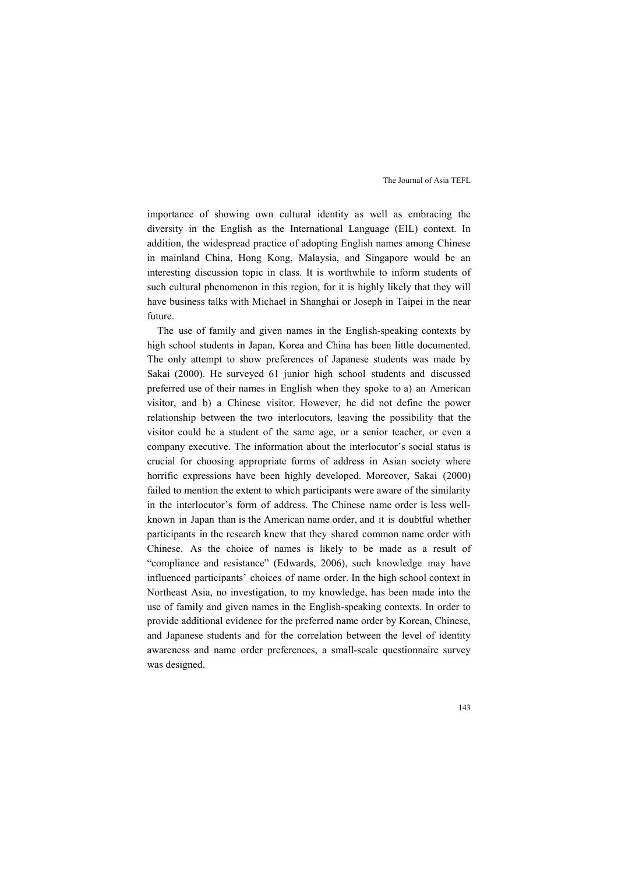importance of showing own cultural identity as well as embracing the diversity in the English as the International Language (EIL) context. In addition, the widespread practice of adopting English names among Chinese in mainland China, Hong Kong, Malaysia, and Singapore would be an interesting discussion topic in class. It is worthwhile to inform students of such cultural phenomenon in this region, for it is highly likely that they will have business talks with Michael in Shanghai or Joseph in Taipei in the near future.

The use of family and given names in the English-speaking contexts by high school students in Japan, Korea and China has been little documented. The only attempt to show preferences of Japanese students was made by Sakai (2000). He surveyed 61 junior high school students and discussed preferred use of their names in English when they spoke to a) an American visitor, and b) a Chinese visitor. However, he did not define the power relationship between the two interlocutors, leaving the possibility that the visitor could be a student of the same age, or a senior teacher, or even a company executive. The information about the interlocutor's social status is crucial for choosing appropriate forms of address in Asian society where horrific expressions have been highly developed. Moreover, Sakai (2000) failed to mention the extent to which participants were aware of the similarity in the interlocutor's form of address. The Chinese name order is less wellknown in Japan than is the American name order, and it is doubtful whether participants in the research knew that they shared common name order with Chinese. As the choice of names is likely to be made as a result of "compliance and resistance" (Edwards, 2006), such knowledge may have influenced participants' choices of name order. In the high school context in Northeast Asia, no investigation, to my knowledge, has been made into the use of family and given names in the English-speaking contexts. In order to provide additional evidence for the preferred name order by Korean, Chinese, and Japanese students and for the correlation between the level of identity awareness and name order preferences, a small-scale questionnaire survey was designed.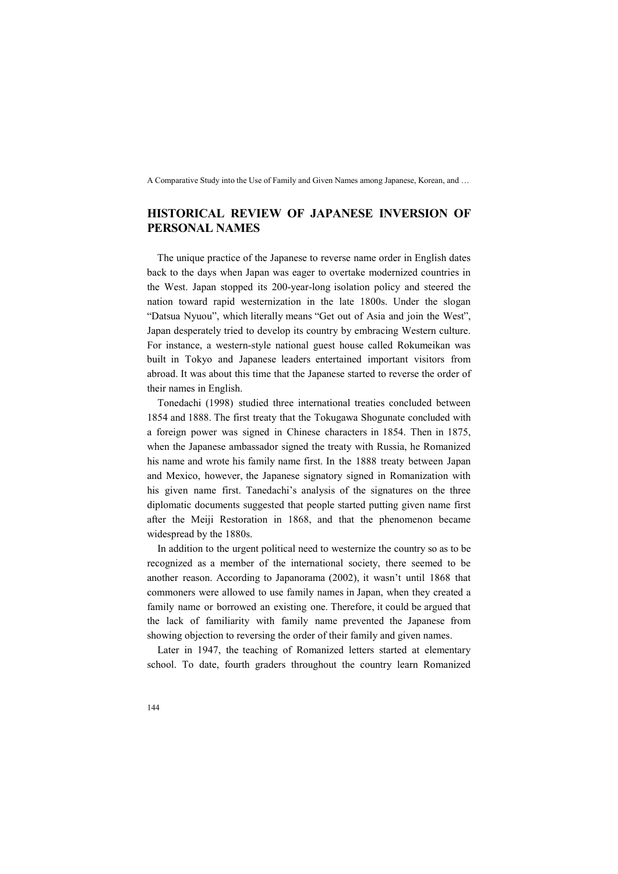# **HISTORICAL REVIEW OF JAPANESE INVERSION OF PERSONAL NAMES**

The unique practice of the Japanese to reverse name order in English dates back to the days when Japan was eager to overtake modernized countries in the West. Japan stopped its 200-year-long isolation policy and steered the nation toward rapid westernization in the late 1800s. Under the slogan "Datsua Nyuou", which literally means "Get out of Asia and join the West", Japan desperately tried to develop its country by embracing Western culture. For instance, a western-style national guest house called Rokumeikan was built in Tokyo and Japanese leaders entertained important visitors from abroad. It was about this time that the Japanese started to reverse the order of their names in English.

Tonedachi (1998) studied three international treaties concluded between 1854 and 1888. The first treaty that the Tokugawa Shogunate concluded with a foreign power was signed in Chinese characters in 1854. Then in 1875, when the Japanese ambassador signed the treaty with Russia, he Romanized his name and wrote his family name first. In the 1888 treaty between Japan and Mexico, however, the Japanese signatory signed in Romanization with his given name first. Tanedachi's analysis of the signatures on the three diplomatic documents suggested that people started putting given name first after the Meiji Restoration in 1868, and that the phenomenon became widespread by the 1880s.

In addition to the urgent political need to westernize the country so as to be recognized as a member of the international society, there seemed to be another reason. According to Japanorama (2002), it wasn't until 1868 that commoners were allowed to use family names in Japan, when they created a family name or borrowed an existing one. Therefore, it could be argued that the lack of familiarity with family name prevented the Japanese from showing objection to reversing the order of their family and given names.

Later in 1947, the teaching of Romanized letters started at elementary school. To date, fourth graders throughout the country learn Romanized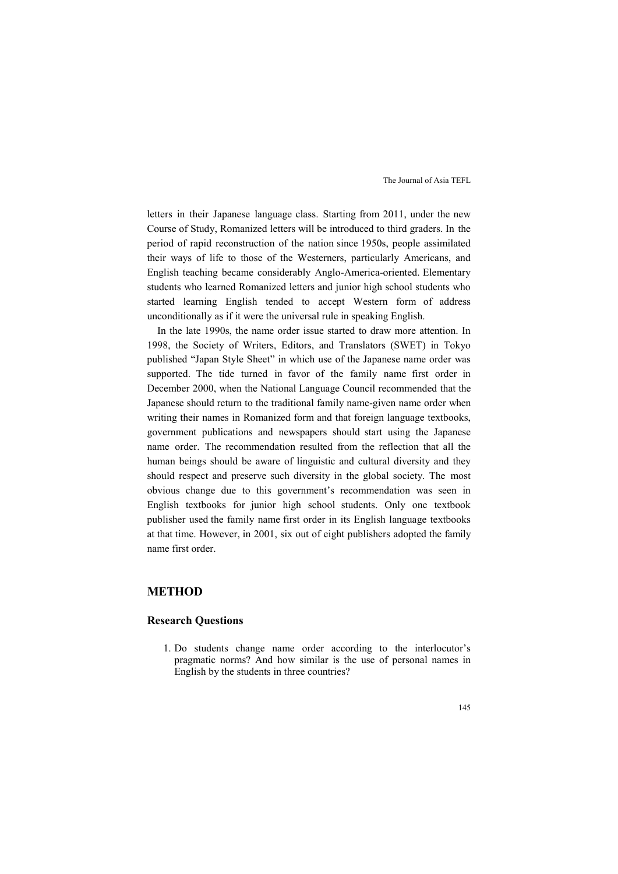letters in their Japanese language class. Starting from 2011, under the new Course of Study, Romanized letters will be introduced to third graders. In the period of rapid reconstruction of the nation since 1950s, people assimilated their ways of life to those of the Westerners, particularly Americans, and English teaching became considerably Anglo-America-oriented. Elementary students who learned Romanized letters and junior high school students who started learning English tended to accept Western form of address unconditionally as if it were the universal rule in speaking English.

In the late 1990s, the name order issue started to draw more attention. In 1998, the Society of Writers, Editors, and Translators (SWET) in Tokyo published "Japan Style Sheet" in which use of the Japanese name order was supported. The tide turned in favor of the family name first order in December 2000, when the National Language Council recommended that the Japanese should return to the traditional family name-given name order when writing their names in Romanized form and that foreign language textbooks, government publications and newspapers should start using the Japanese name order. The recommendation resulted from the reflection that all the human beings should be aware of linguistic and cultural diversity and they should respect and preserve such diversity in the global society. The most obvious change due to this government's recommendation was seen in English textbooks for junior high school students. Only one textbook publisher used the family name first order in its English language textbooks at that time. However, in 2001, six out of eight publishers adopted the family name first order.

## **METHOD**

### **Research Questions**

1. Do students change name order according to the interlocutor's pragmatic norms? And how similar is the use of personal names in English by the students in three countries?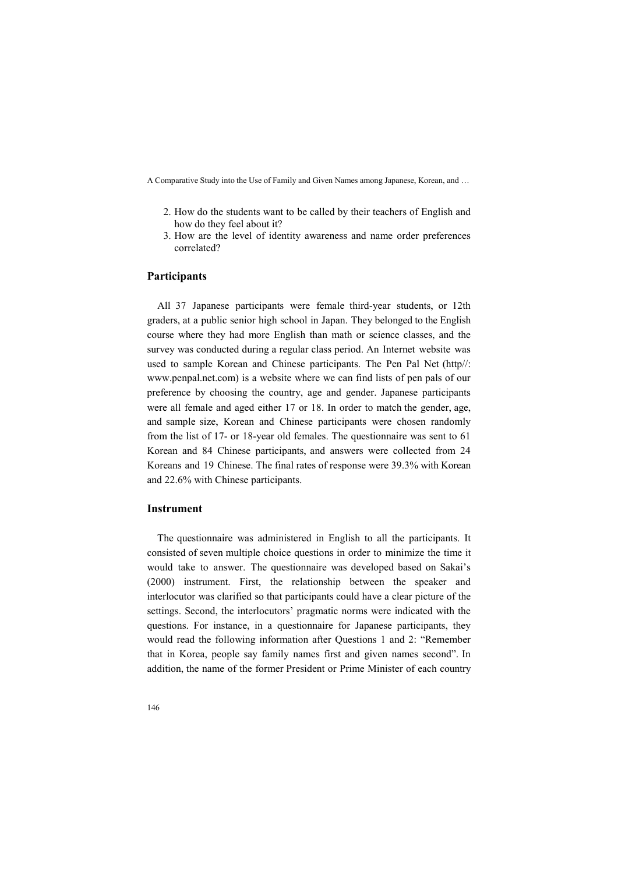- 2. How do the students want to be called by their teachers of English and how do they feel about it?
- 3. How are the level of identity awareness and name order preferences correlated?

#### **Participants**

All 37 Japanese participants were female third-year students, or 12th graders, at a public senior high school in Japan. They belonged to the English course where they had more English than math or science classes, and the survey was conducted during a regular class period. An Internet website was used to sample Korean and Chinese participants. The Pen Pal Net (http//: www.penpal.net.com) is a website where we can find lists of pen pals of our preference by choosing the country, age and gender. Japanese participants were all female and aged either 17 or 18. In order to match the gender, age, and sample size, Korean and Chinese participants were chosen randomly from the list of 17- or 18-year old females. The questionnaire was sent to 61 Korean and 84 Chinese participants, and answers were collected from 24 Koreans and 19 Chinese. The final rates of response were 39.3% with Korean and 22.6% with Chinese participants.

## **Instrument**

The questionnaire was administered in English to all the participants. It consisted of seven multiple choice questions in order to minimize the time it would take to answer. The questionnaire was developed based on Sakai's (2000) instrument. First, the relationship between the speaker and interlocutor was clarified so that participants could have a clear picture of the settings. Second, the interlocutors' pragmatic norms were indicated with the questions. For instance, in a questionnaire for Japanese participants, they would read the following information after Questions 1 and 2: "Remember that in Korea, people say family names first and given names second". In addition, the name of the former President or Prime Minister of each country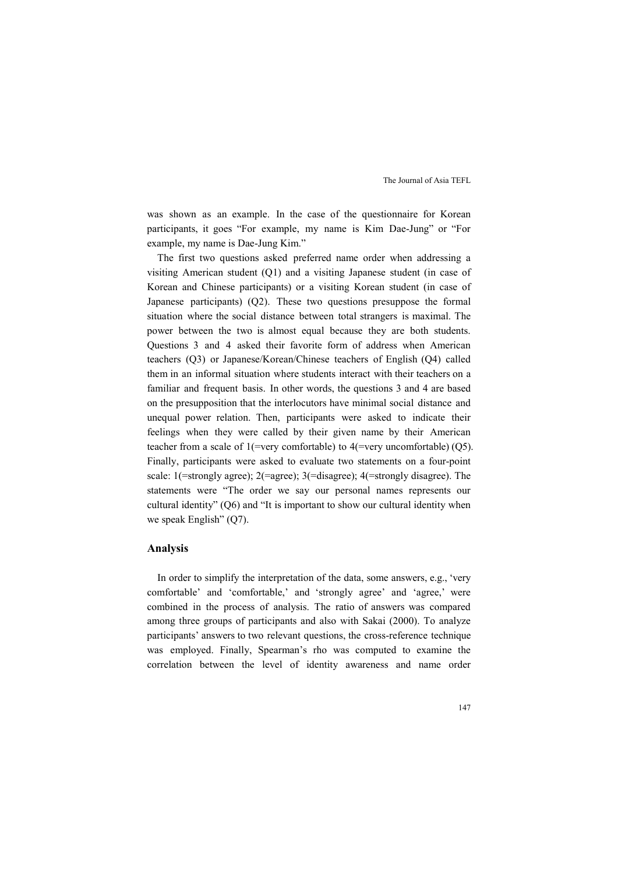was shown as an example. In the case of the questionnaire for Korean participants, it goes "For example, my name is Kim Dae-Jung" or "For example, my name is Dae-Jung Kim."

The first two questions asked preferred name order when addressing a visiting American student (Q1) and a visiting Japanese student (in case of Korean and Chinese participants) or a visiting Korean student (in case of Japanese participants) (Q2). These two questions presuppose the formal situation where the social distance between total strangers is maximal. The power between the two is almost equal because they are both students. Questions 3 and 4 asked their favorite form of address when American teachers (Q3) or Japanese/Korean/Chinese teachers of English (Q4) called them in an informal situation where students interact with their teachers on a familiar and frequent basis. In other words, the questions 3 and 4 are based on the presupposition that the interlocutors have minimal social distance and unequal power relation. Then, participants were asked to indicate their feelings when they were called by their given name by their American teacher from a scale of 1(=very comfortable) to 4(=very uncomfortable) (Q5). Finally, participants were asked to evaluate two statements on a four-point scale: 1(=strongly agree); 2(=agree); 3(=disagree); 4(=strongly disagree). The statements were "The order we say our personal names represents our cultural identity" (Q6) and "It is important to show our cultural identity when we speak English" (Q7).

#### **Analysis**

In order to simplify the interpretation of the data, some answers, e.g., 'very comfortable' and 'comfortable,' and 'strongly agree' and 'agree,' were combined in the process of analysis. The ratio of answers was compared among three groups of participants and also with Sakai (2000). To analyze participants' answers to two relevant questions, the cross-reference technique was employed. Finally, Spearman's rho was computed to examine the correlation between the level of identity awareness and name order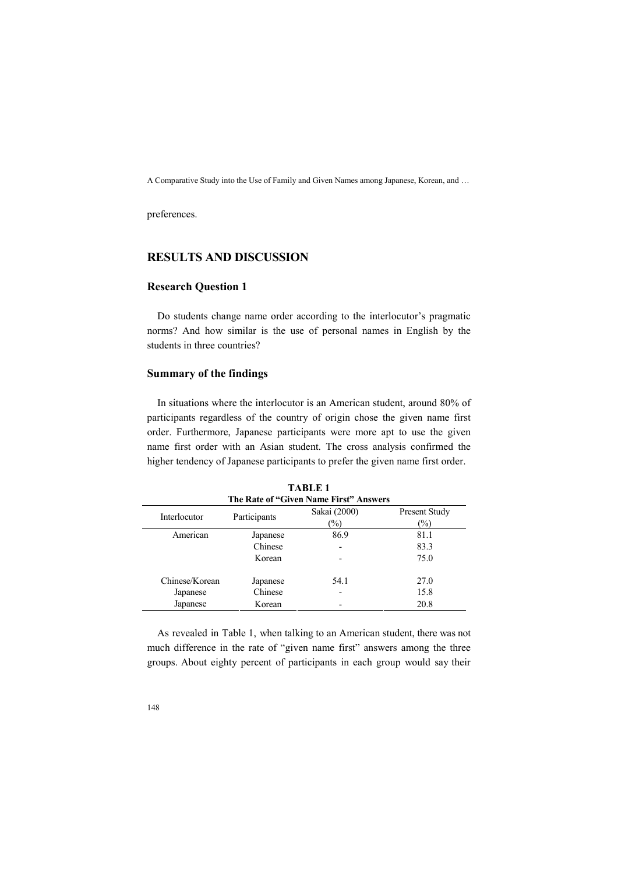preferences.

# **RESULTS AND DISCUSSION**

## **Research Question 1**

Do students change name order according to the interlocutor's pragmatic norms? And how similar is the use of personal names in English by the students in three countries?

# **Summary of the findings**

In situations where the interlocutor is an American student, around 80% of participants regardless of the country of origin chose the given name first order. Furthermore, Japanese participants were more apt to use the given name first order with an Asian student. The cross analysis confirmed the higher tendency of Japanese participants to prefer the given name first order.

|                |              | The Rate of "Given Name First" Answers |                                |
|----------------|--------------|----------------------------------------|--------------------------------|
| Interlocutor   | Participants | Sakai (2000)<br>$\frac{1}{2}$          | Present Study<br>$\frac{9}{0}$ |
|                |              |                                        |                                |
| American       | Japanese     | 86.9                                   | 81.1                           |
|                | Chinese      |                                        | 83.3                           |
|                | Korean       |                                        | 75.0                           |
|                |              |                                        |                                |
| Chinese/Korean | Japanese     | 54.1                                   | 27.0                           |
| Japanese       | Chinese      |                                        | 15.8                           |
| Japanese       | Korean       |                                        | 20.8                           |
|                |              |                                        |                                |

**TABLE 1** 

As revealed in Table 1, when talking to an American student, there was not much difference in the rate of "given name first" answers among the three groups. About eighty percent of participants in each group would say their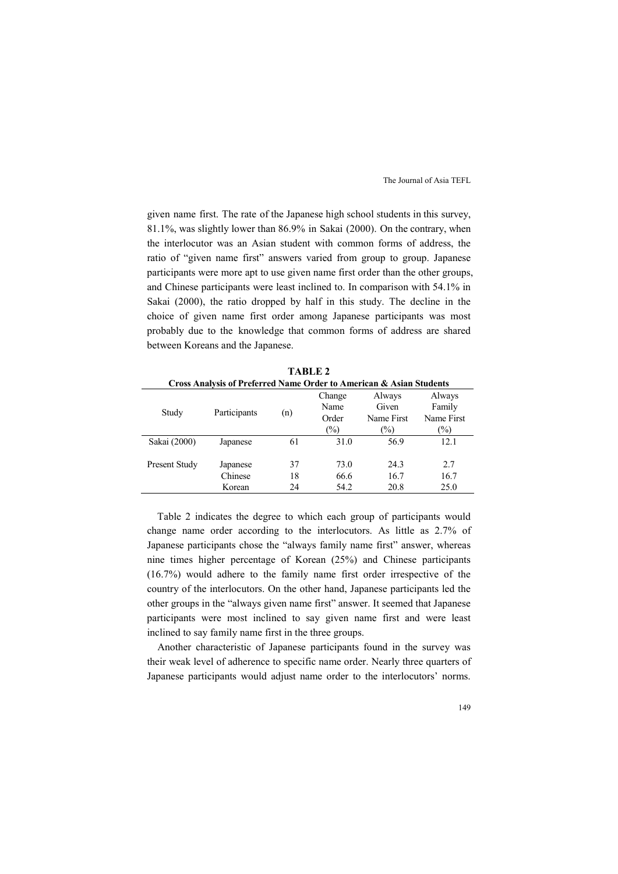given name first. The rate of the Japanese high school students in this survey, 81.1%, was slightly lower than 86.9% in Sakai (2000). On the contrary, when the interlocutor was an Asian student with common forms of address, the ratio of "given name first" answers varied from group to group. Japanese participants were more apt to use given name first order than the other groups, and Chinese participants were least inclined to. In comparison with 54.1% in Sakai (2000), the ratio dropped by half in this study. The decline in the choice of given name first order among Japanese participants was most probably due to the knowledge that common forms of address are shared between Koreans and the Japanese.

| Cross Analysis of Preferred Name Order to American & Asian Students |              |     |        |            |            |
|---------------------------------------------------------------------|--------------|-----|--------|------------|------------|
|                                                                     |              |     | Change | Always     | Always     |
| Study                                                               | Participants |     | Name   | Given      | Family     |
|                                                                     |              | (n) | Order  | Name First | Name First |
|                                                                     |              |     | $(\%)$ | $\%$       | $(\%)$     |
| Sakai (2000)                                                        | Japanese     | 61  | 31.0   | 56.9       | 12.1       |
|                                                                     |              |     |        |            |            |
| Present Study                                                       | Japanese     | 37  | 73.0   | 24.3       | 2.7        |
|                                                                     | Chinese      | 18  | 66.6   | 16.7       | 16.7       |
|                                                                     | Korean       | 24  | 54.2   | 20.8       | 25.0       |

**TABLE 2** 

Table 2 indicates the degree to which each group of participants would change name order according to the interlocutors. As little as 2.7% of Japanese participants chose the "always family name first" answer, whereas nine times higher percentage of Korean (25%) and Chinese participants (16.7%) would adhere to the family name first order irrespective of the country of the interlocutors. On the other hand, Japanese participants led the other groups in the "always given name first" answer. It seemed that Japanese participants were most inclined to say given name first and were least inclined to say family name first in the three groups.

Another characteristic of Japanese participants found in the survey was their weak level of adherence to specific name order. Nearly three quarters of Japanese participants would adjust name order to the interlocutors' norms.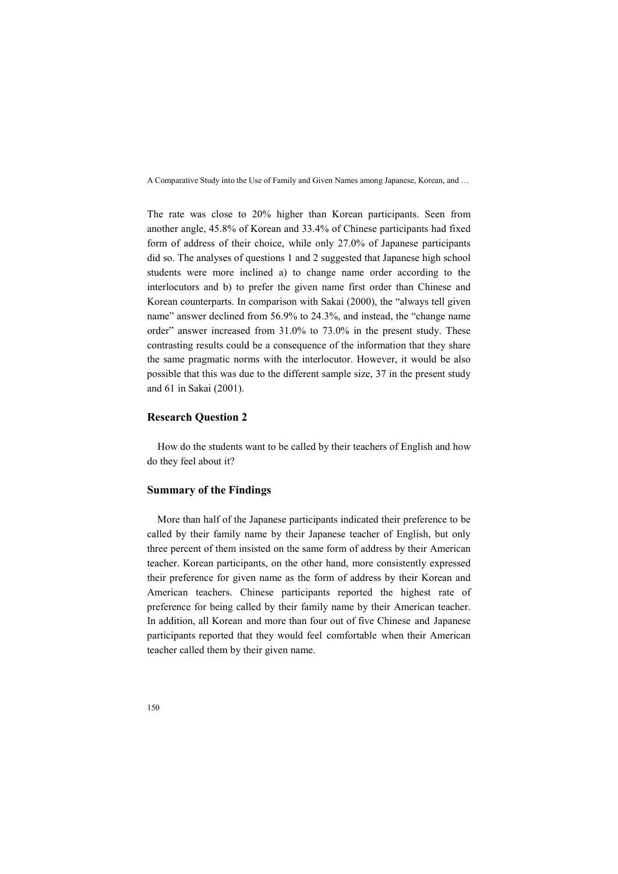The rate was close to 20% higher than Korean participants. Seen from another angle, 45.8% of Korean and 33.4% of Chinese participants had fixed form of address of their choice, while only 27.0% of Japanese participants did so. The analyses of questions 1 and 2 suggested that Japanese high school students were more inclined a) to change name order according to the interlocutors and b) to prefer the given name first order than Chinese and Korean counterparts. In comparison with Sakai (2000), the "always tell given name" answer declined from 56.9% to 24.3%, and instead, the "change name order" answer increased from 31.0% to 73.0% in the present study. These contrasting results could be a consequence of the information that they share the same pragmatic norms with the interlocutor. However, it would be also possible that this was due to the different sample size, 37 in the present study and 61 in Sakai (2001).

## **Research Question 2**

How do the students want to be called by their teachers of English and how do they feel about it?

## **Summary of the Findings**

More than half of the Japanese participants indicated their preference to be called by their family name by their Japanese teacher of English, but only three percent of them insisted on the same form of address by their American teacher. Korean participants, on the other hand, more consistently expressed their preference for given name as the form of address by their Korean and American teachers. Chinese participants reported the highest rate of preference for being called by their family name by their American teacher. In addition, all Korean and more than four out of five Chinese and Japanese participants reported that they would feel comfortable when their American teacher called them by their given name.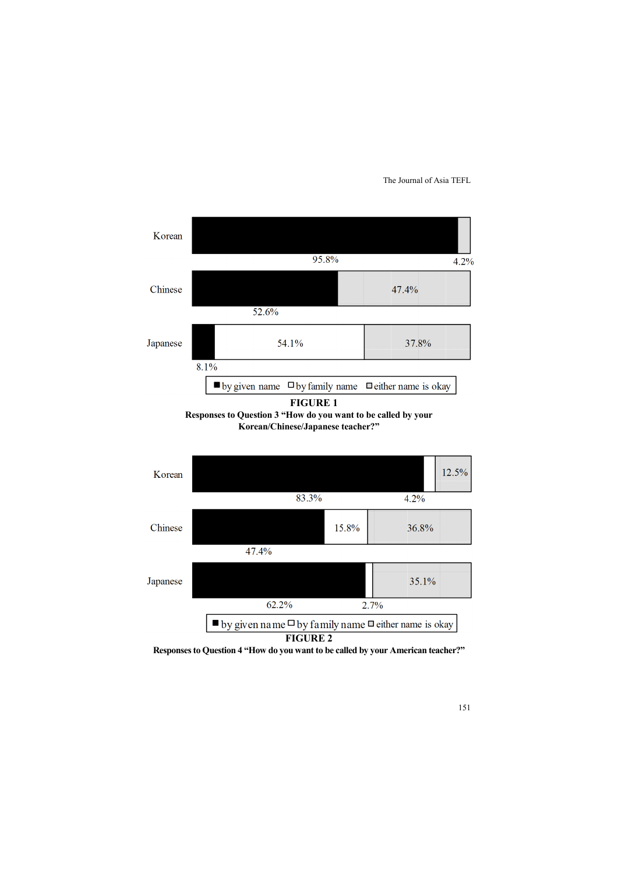

**Responses to Question 4 "How do you want to be called by your American teacher?"**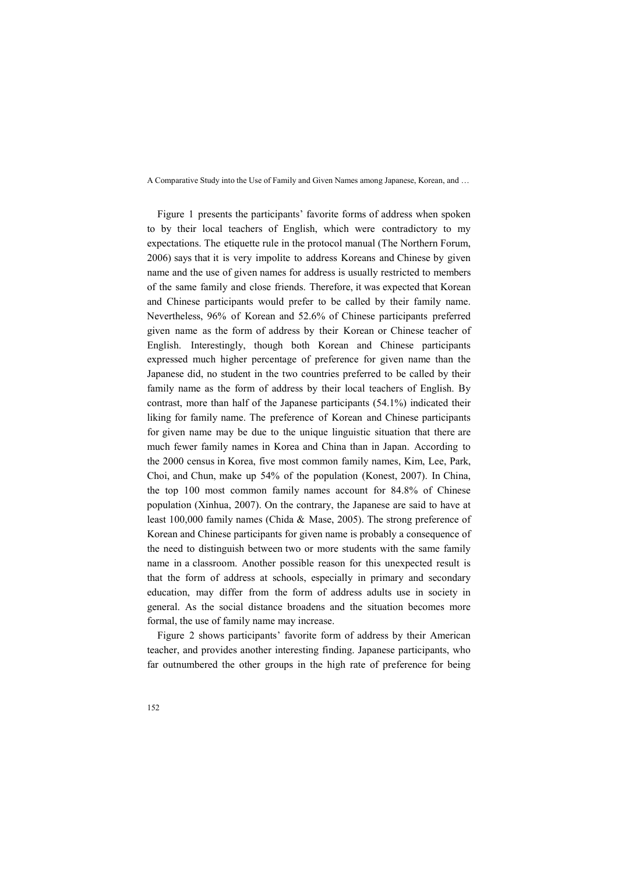Figure 1 presents the participants' favorite forms of address when spoken to by their local teachers of English, which were contradictory to my expectations. The etiquette rule in the protocol manual (The Northern Forum, 2006) says that it is very impolite to address Koreans and Chinese by given name and the use of given names for address is usually restricted to members of the same family and close friends. Therefore, it was expected that Korean and Chinese participants would prefer to be called by their family name. Nevertheless, 96% of Korean and 52.6% of Chinese participants preferred given name as the form of address by their Korean or Chinese teacher of English. Interestingly, though both Korean and Chinese participants expressed much higher percentage of preference for given name than the Japanese did, no student in the two countries preferred to be called by their family name as the form of address by their local teachers of English. By contrast, more than half of the Japanese participants (54.1%) indicated their liking for family name. The preference of Korean and Chinese participants for given name may be due to the unique linguistic situation that there are much fewer family names in Korea and China than in Japan. According to the 2000 census in Korea, five most common family names, Kim, Lee, Park, Choi, and Chun, make up 54% of the population (Konest, 2007). In China, the top 100 most common family names account for 84.8% of Chinese population (Xinhua, 2007). On the contrary, the Japanese are said to have at least 100,000 family names (Chida & Mase, 2005). The strong preference of Korean and Chinese participants for given name is probably a consequence of the need to distinguish between two or more students with the same family name in a classroom. Another possible reason for this unexpected result is that the form of address at schools, especially in primary and secondary education, may differ from the form of address adults use in society in general. As the social distance broadens and the situation becomes more formal, the use of family name may increase.

Figure 2 shows participants' favorite form of address by their American teacher, and provides another interesting finding. Japanese participants, who far outnumbered the other groups in the high rate of preference for being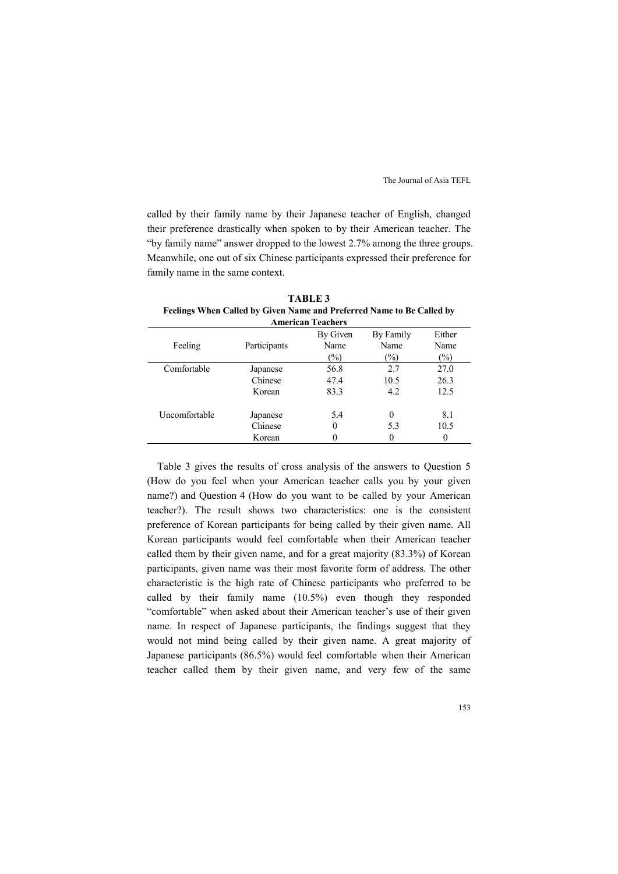called by their family name by their Japanese teacher of English, changed their preference drastically when spoken to by their American teacher. The "by family name" answer dropped to the lowest 2.7% among the three groups. Meanwhile, one out of six Chinese participants expressed their preference for family name in the same context.

|               |              | <b>American Teachers</b> |               |               |
|---------------|--------------|--------------------------|---------------|---------------|
|               |              | By Given                 | By Family     | Either        |
| Feeling       | Participants | Name                     | Name          | Name          |
|               |              | $(\%)$                   | $\frac{1}{2}$ | $\frac{1}{2}$ |
| Comfortable   | Japanese     | 56.8                     | 2.7           | 27.0          |
|               | Chinese      | 47.4                     | 10.5          | 26.3          |
|               | Korean       | 83.3                     | 4.2           | 12.5          |
| Uncomfortable | Japanese     | 5.4                      | $\Omega$      | 8.1           |
|               | Chinese      | 0                        | 5.3           | 10.5          |
|               | Korean       | 0                        |               | 0             |

**TABLE 3**  Feelings When Called by Given Name and Preferred Name to Be Called by

Table 3 gives the results of cross analysis of the answers to Question 5 (How do you feel when your American teacher calls you by your given name?) and Question 4 (How do you want to be called by your American teacher?). The result shows two characteristics: one is the consistent preference of Korean participants for being called by their given name. All Korean participants would feel comfortable when their American teacher called them by their given name, and for a great majority (83.3%) of Korean participants, given name was their most favorite form of address. The other characteristic is the high rate of Chinese participants who preferred to be called by their family name (10.5%) even though they responded "comfortable" when asked about their American teacher's use of their given name. In respect of Japanese participants, the findings suggest that they would not mind being called by their given name. A great majority of Japanese participants (86.5%) would feel comfortable when their American teacher called them by their given name, and very few of the same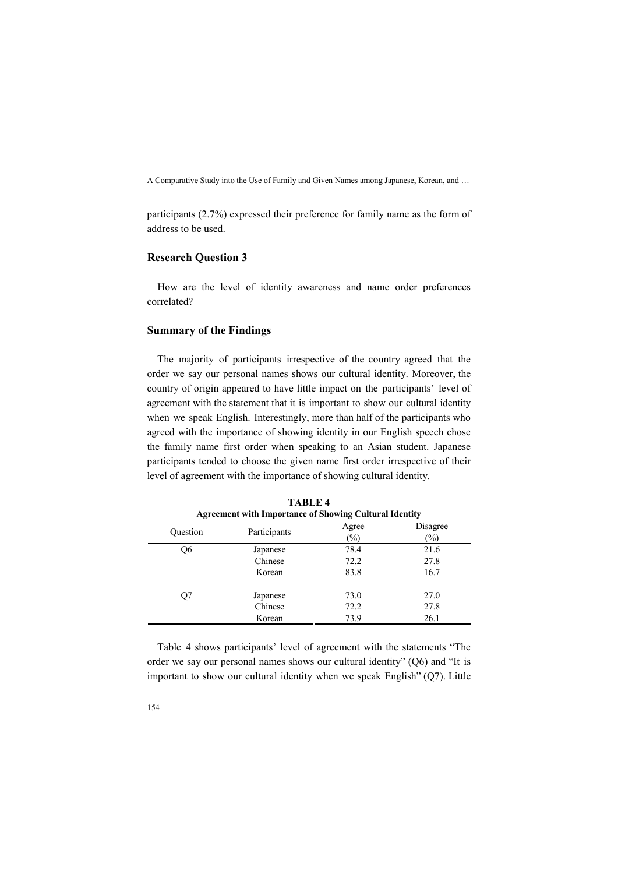participants (2.7%) expressed their preference for family name as the form of address to be used.

## **Research Question 3**

How are the level of identity awareness and name order preferences correlated?

## **Summary of the Findings**

The majority of participants irrespective of the country agreed that the order we say our personal names shows our cultural identity. Moreover, the country of origin appeared to have little impact on the participants' level of agreement with the statement that it is important to show our cultural identity when we speak English. Interestingly, more than half of the participants who agreed with the importance of showing identity in our English speech chose the family name first order when speaking to an Asian student. Japanese participants tended to choose the given name first order irrespective of their level of agreement with the importance of showing cultural identity.

|          | <b>Agreement with Importance of Showing Cultural Identity</b> |                        |                           |  |  |  |
|----------|---------------------------------------------------------------|------------------------|---------------------------|--|--|--|
| Ouestion | Participants                                                  | Agree<br>$\frac{1}{2}$ | Disagree<br>$\frac{1}{2}$ |  |  |  |
| О6       | Japanese                                                      | 78.4                   | 21.6                      |  |  |  |
|          | Chinese                                                       | 72.2                   | 27.8                      |  |  |  |
|          | Korean                                                        | 83.8                   | 16.7                      |  |  |  |
| O7       | Japanese                                                      | 73.0                   | 27.0                      |  |  |  |
|          | Chinese                                                       | 72.2                   | 27.8                      |  |  |  |
|          | Korean                                                        | 73.9                   | 26.1                      |  |  |  |

**TABLE 4** 

Table 4 shows participants' level of agreement with the statements "The order we say our personal names shows our cultural identity" (Q6) and "It is important to show our cultural identity when we speak English" (Q7). Little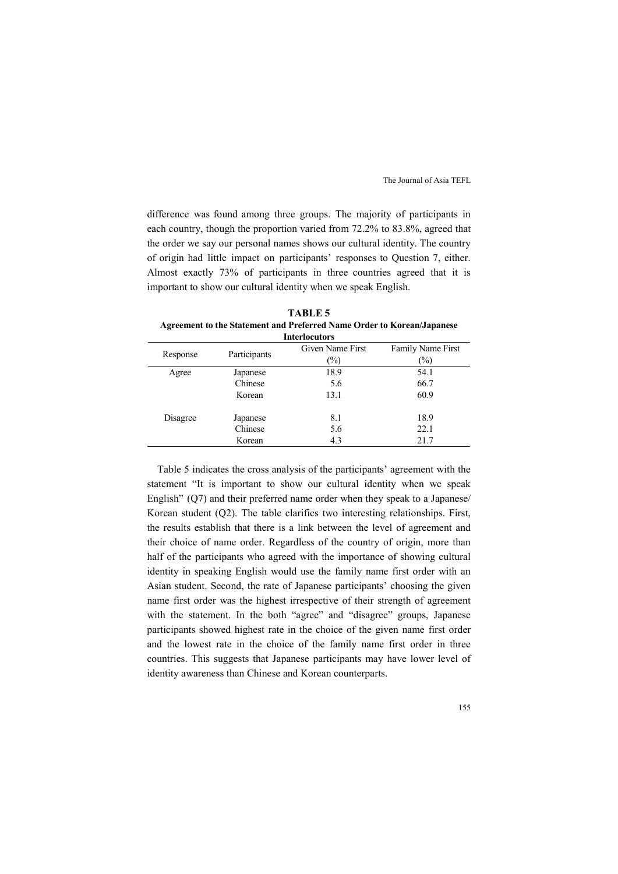difference was found among three groups. The majority of participants in each country, though the proportion varied from 72.2% to 83.8%, agreed that the order we say our personal names shows our cultural identity. The country of origin had little impact on participants' responses to Question 7, either. Almost exactly 73% of participants in three countries agreed that it is important to show our cultural identity when we speak English.

|          |              | <b>Interlocutors</b> |                          |
|----------|--------------|----------------------|--------------------------|
| Response | Participants | Given Name First     | <b>Family Name First</b> |
|          |              | $(\%)$               | $\frac{1}{2}$            |
| Agree    | Japanese     | 18.9                 | 54.1                     |
|          | Chinese      | 5.6                  | 66.7                     |
|          | Korean       | 13.1                 | 60.9                     |
| Disagree | Japanese     | 8.1                  | 18.9                     |
|          | Chinese      | 5.6                  | 22.1                     |
|          | Korean       | 4.3                  | 21.7                     |

**TABLE 5 Agreement to the Statement and Preferred Name Order to Korean/Japanese** 

Table 5 indicates the cross analysis of the participants' agreement with the statement "It is important to show our cultural identity when we speak English" (Q7) and their preferred name order when they speak to a Japanese/ Korean student (Q2). The table clarifies two interesting relationships. First, the results establish that there is a link between the level of agreement and their choice of name order. Regardless of the country of origin, more than half of the participants who agreed with the importance of showing cultural identity in speaking English would use the family name first order with an Asian student. Second, the rate of Japanese participants' choosing the given name first order was the highest irrespective of their strength of agreement with the statement. In the both "agree" and "disagree" groups, Japanese participants showed highest rate in the choice of the given name first order and the lowest rate in the choice of the family name first order in three countries. This suggests that Japanese participants may have lower level of identity awareness than Chinese and Korean counterparts.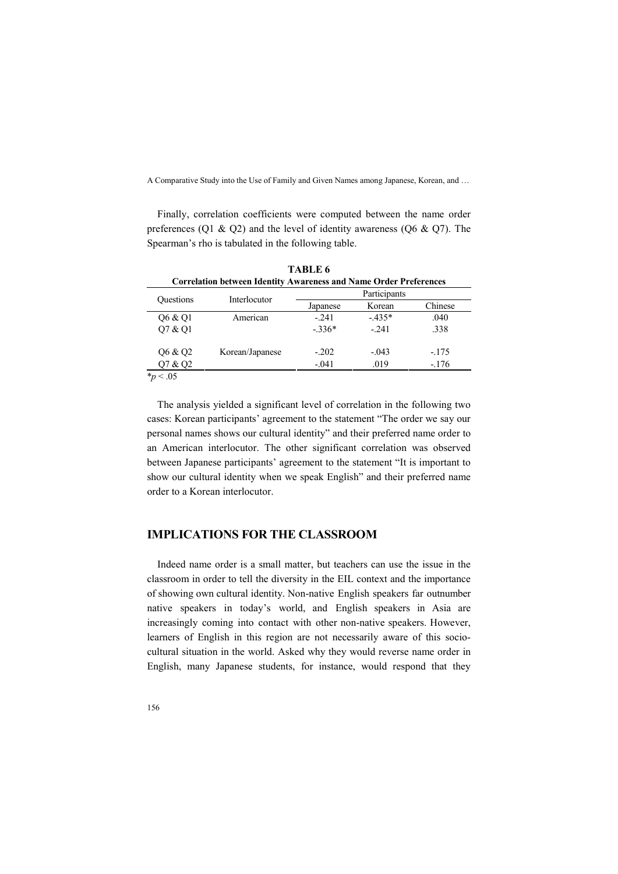Finally, correlation coefficients were computed between the name order preferences (Q1 & Q2) and the level of identity awareness (Q6 & Q7). The Spearman's rho is tabulated in the following table.

|                  |                                                                          | TABLE 6  |              |         |
|------------------|--------------------------------------------------------------------------|----------|--------------|---------|
|                  | <b>Correlation between Identity Awareness and Name Order Preferences</b> |          |              |         |
| <b>Ouestions</b> | Interlocutor                                                             |          | Participants |         |
|                  |                                                                          | Japanese | Korean       | Chinese |
| Q6 & Q1          | American                                                                 | $-241$   | $-435*$      | .040    |
| O7 & O1          |                                                                          | $-336*$  | $-241$       | .338    |
| Q6 & Q2          | Korean/Japanese                                                          | $-.202$  | $-.043$      | $-175$  |
| Q7 & Q2          |                                                                          | $-.041$  | .019         | $-.176$ |
| $*_p$ < .05      |                                                                          |          |              |         |

The analysis yielded a significant level of correlation in the following two cases: Korean participants' agreement to the statement "The order we say our personal names shows our cultural identity" and their preferred name order to an American interlocutor. The other significant correlation was observed between Japanese participants' agreement to the statement "It is important to show our cultural identity when we speak English" and their preferred name order to a Korean interlocutor.

## **IMPLICATIOS FOR THE CLASSROOM**

Indeed name order is a small matter, but teachers can use the issue in the classroom in order to tell the diversity in the EIL context and the importance of showing own cultural identity. Non-native English speakers far outnumber native speakers in today's world, and English speakers in Asia are increasingly coming into contact with other non-native speakers. However, learners of English in this region are not necessarily aware of this sociocultural situation in the world. Asked why they would reverse name order in English, many Japanese students, for instance, would respond that they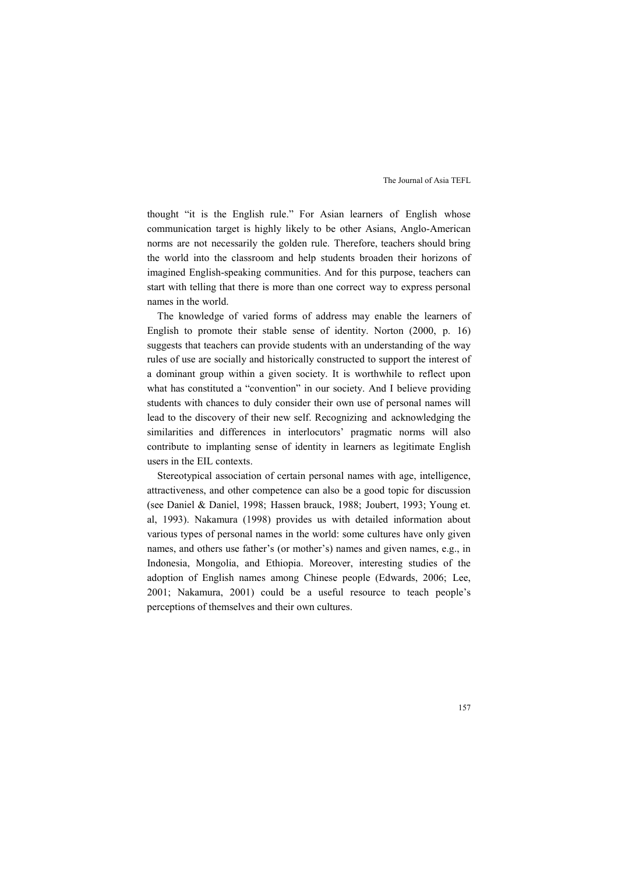thought "it is the English rule." For Asian learners of English whose communication target is highly likely to be other Asians, Anglo-American norms are not necessarily the golden rule. Therefore, teachers should bring the world into the classroom and help students broaden their horizons of imagined English-speaking communities. And for this purpose, teachers can start with telling that there is more than one correct way to express personal names in the world.

The knowledge of varied forms of address may enable the learners of English to promote their stable sense of identity. Norton (2000, p. 16) suggests that teachers can provide students with an understanding of the way rules of use are socially and historically constructed to support the interest of a dominant group within a given society. It is worthwhile to reflect upon what has constituted a "convention" in our society. And I believe providing students with chances to duly consider their own use of personal names will lead to the discovery of their new self. Recognizing and acknowledging the similarities and differences in interlocutors' pragmatic norms will also contribute to implanting sense of identity in learners as legitimate English users in the EIL contexts.

Stereotypical association of certain personal names with age, intelligence, attractiveness, and other competence can also be a good topic for discussion (see Daniel & Daniel, 1998; Hassen brauck, 1988; Joubert, 1993; Young et. al, 1993). Nakamura (1998) provides us with detailed information about various types of personal names in the world: some cultures have only given names, and others use father's (or mother's) names and given names, e.g., in Indonesia, Mongolia, and Ethiopia. Moreover, interesting studies of the adoption of English names among Chinese people (Edwards, 2006; Lee, 2001; Nakamura, 2001) could be a useful resource to teach people's perceptions of themselves and their own cultures.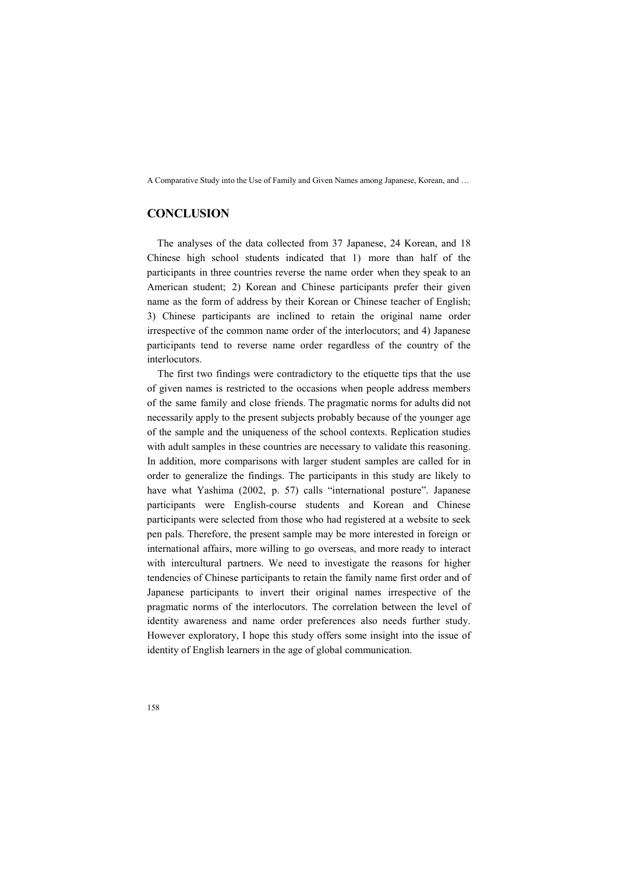# **CONCLUSION**

The analyses of the data collected from 37 Japanese, 24 Korean, and 18 Chinese high school students indicated that 1) more than half of the participants in three countries reverse the name order when they speak to an American student; 2) Korean and Chinese participants prefer their given name as the form of address by their Korean or Chinese teacher of English; 3) Chinese participants are inclined to retain the original name order irrespective of the common name order of the interlocutors; and 4) Japanese participants tend to reverse name order regardless of the country of the interlocutors.

The first two findings were contradictory to the etiquette tips that the use of given names is restricted to the occasions when people address members of the same family and close friends. The pragmatic norms for adults did not necessarily apply to the present subjects probably because of the younger age of the sample and the uniqueness of the school contexts. Replication studies with adult samples in these countries are necessary to validate this reasoning. In addition, more comparisons with larger student samples are called for in order to generalize the findings. The participants in this study are likely to have what Yashima (2002, p. 57) calls "international posture". Japanese participants were English-course students and Korean and Chinese participants were selected from those who had registered at a website to seek pen pals. Therefore, the present sample may be more interested in foreign or international affairs, more willing to go overseas, and more ready to interact with intercultural partners. We need to investigate the reasons for higher tendencies of Chinese participants to retain the family name first order and of Japanese participants to invert their original names irrespective of the pragmatic norms of the interlocutors. The correlation between the level of identity awareness and name order preferences also needs further study. However exploratory, I hope this study offers some insight into the issue of identity of English learners in the age of global communication.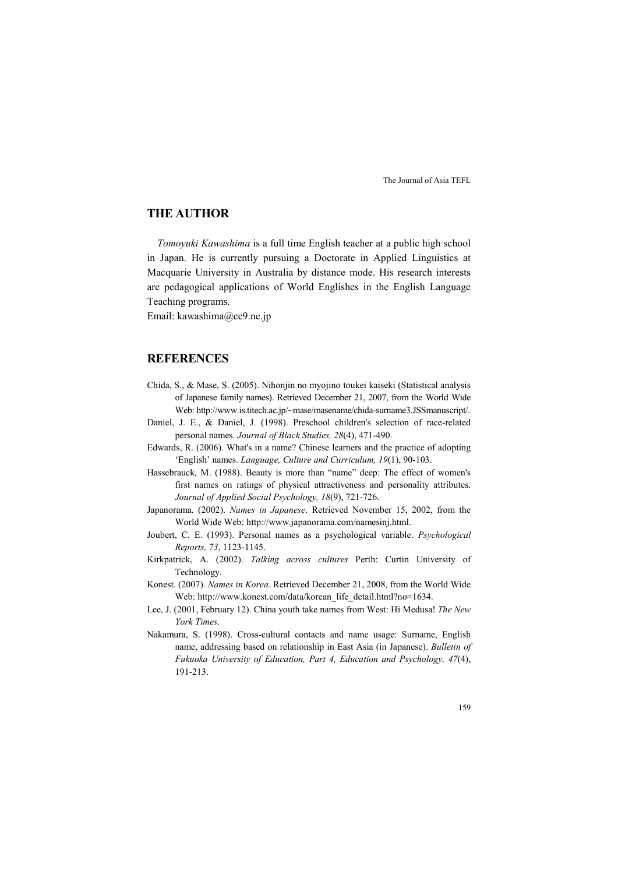# **THE AUTHOR**

*Tomoyuki Kawashima* is a full time English teacher at a public high school in Japan. He is currently pursuing a Doctorate in Applied Linguistics at Macquarie University in Australia by distance mode. His research interests are pedagogical applications of World Englishes in the English Language Teaching programs.

Email: kawashima@cc9.ne.jp

# **REFERENCES**

- Chida, S., & Mase, S. (2005). Nihonjin no myojino toukei kaiseki (Statistical analysis of Japanese family names). Retrieved December 21, 2007, from the World Wide Web: http://www.is.titech.ac.jp/~mase/masename/chida-surname3.JSSmanuscript/.
- Daniel, J. E., & Daniel, J. (1998). Preschool children's selection of race-related personal names. *Journal of Black Studies, 28*(4), 471-490.
- Edwards, R. (2006). What's in a name? Chinese learners and the practice of adopting 'English' names. *Language, Culture and Curriculum, 19*(1), 90-103.
- Hassebrauck, M. (1988). Beauty is more than "name" deep: The effect of women's first names on ratings of physical attractiveness and personality attributes. *Journal of Applied Social Psychology, 18*(9), 721-726.
- Japanorama. (2002). *Names in Japanese*. Retrieved November 15, 2002, from the World Wide Web: http://www.japanorama.com/namesinj.html.
- Joubert, C. E. (1993). Personal names as a psychological variable. *Psychological Reports, 73*, 1123-1145.
- Kirkpatrick, A. (2002). *Talking across cultures* Perth: Curtin University of Technology.
- Konest. (2007). *Names in Korea*. Retrieved December 21, 2008, from the World Wide Web: http://www.konest.com/data/korean\_life\_detail.html?no=1634.
- Lee, J. (2001, February 12). China youth take names from West: Hi Medusa! *The %ew York Times*.
- Nakamura, S. (1998). Cross-cultural contacts and name usage: Surname, English name, addressing based on relationship in East Asia (in Japanese). *Bulletin of Fukuoka University of Education, Part 4, Education and Psychology, 47*(4), 191-213.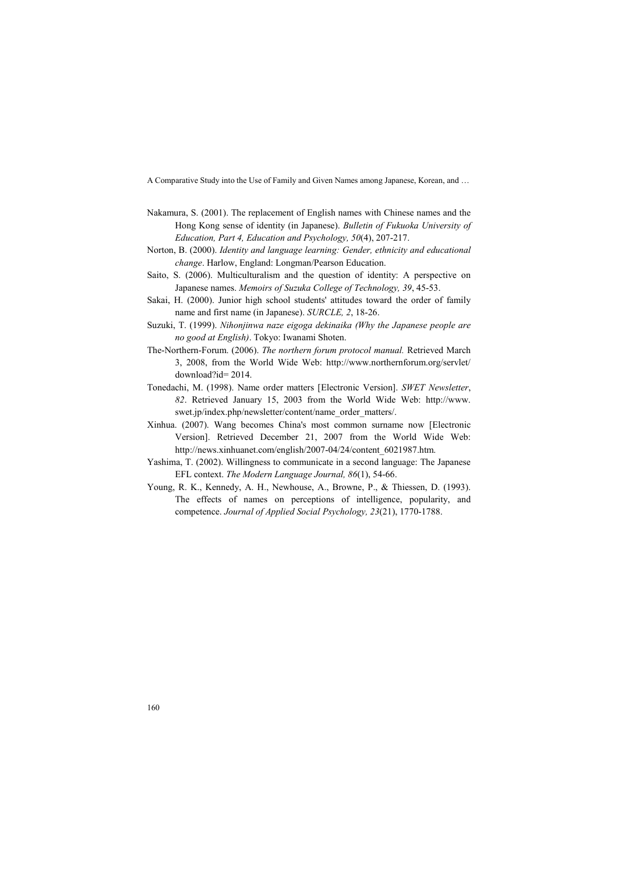- Nakamura, S. (2001). The replacement of English names with Chinese names and the Hong Kong sense of identity (in Japanese). *Bulletin of Fukuoka University of Education, Part 4, Education and Psychology, 50*(4), 207-217.
- Norton, B. (2000). *Identity and language learning: Gender, ethnicity and educational change*. Harlow, England: Longman/Pearson Education.
- Saito, S. (2006). Multiculturalism and the question of identity: A perspective on Japanese names. *Memoirs of Suzuka College of Technology, 39*, 45-53.
- Sakai, H. (2000). Junior high school students' attitudes toward the order of family name and first name (in Japanese). *SURCLE, 2*, 18-26.
- Suzuki, T. (1999). *%ihonjinwa naze eigoga dekinaika (Why the Japanese people are no good at English)*. Tokyo: Iwanami Shoten.
- The-Northern-Forum. (2006). *The northern forum protocol manual.* Retrieved March 3, 2008, from the World Wide Web: http://www.northernforum.org/servlet/ download?id= 2014.
- Tonedachi, M. (1998). Name order matters [Electronic Version]. *SWET Newsletter*, *82*. Retrieved January 15, 2003 from the World Wide Web: http://www. swet.jp/index.php/newsletter/content/name\_order\_matters/.
- Xinhua. (2007). Wang becomes China's most common surname now [Electronic Version]. Retrieved December 21, 2007 from the World Wide Web: http://news.xinhuanet.com/english/2007-04/24/content\_6021987.htm.
- Yashima, T. (2002). Willingness to communicate in a second language: The Japanese EFL context. *The Modern Language Journal, 86*(1), 54-66.
- Young, R. K., Kennedy, A. H., Newhouse, A., Browne, P., & Thiessen, D. (1993). The effects of names on perceptions of intelligence, popularity, and competence. *Journal of Applied Social Psychology, 23*(21), 1770-1788.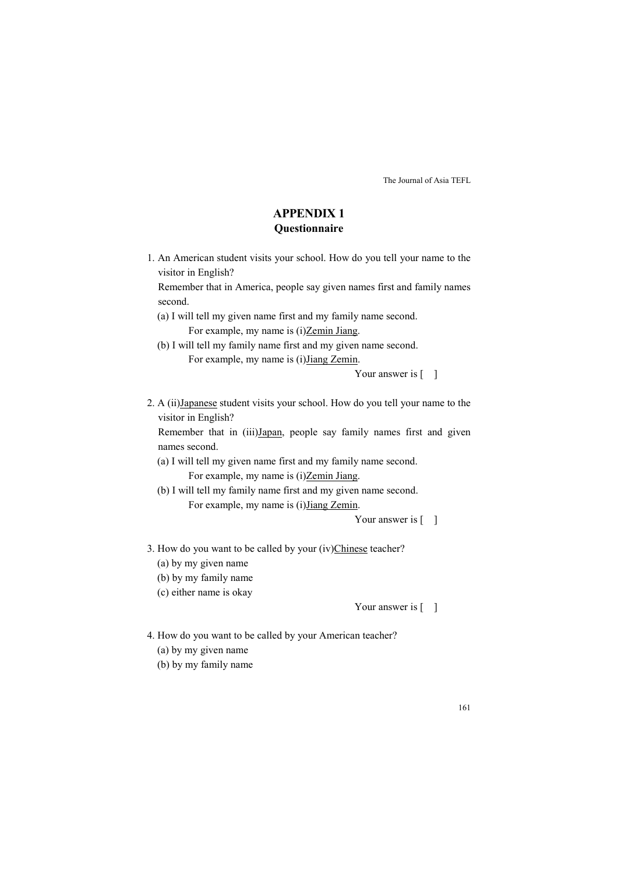# **APPEDIX 1 Questionnaire**

1. An American student visits your school. How do you tell your name to the visitor in English?

Remember that in America, people say given names first and family names second.

- (a) I will tell my given name first and my family name second. For example, my name is (i)Zemin Jiang.
- (b) I will tell my family name first and my given name second. For example, my name is (i)Jiang Zemin.

Your answer is  $\lceil \quad \rceil$ 

2. A (ii)Japanese student visits your school. How do you tell your name to the visitor in English?

Remember that in (iii)Japan, people say family names first and given names second.

- (a) I will tell my given name first and my family name second. For example, my name is (i)Zemin Jiang.
- (b) I will tell my family name first and my given name second. For example, my name is (i)Jiang Zemin.

Your answer is  $\lceil \quad \rceil$ 

- 3. How do you want to be called by your (iv)Chinese teacher?
	- (a) by my given name
	- (b) by my family name
	- (c) either name is okay

Your answer is [ ]

- 4. How do you want to be called by your American teacher? (a) by my given name
	- (b) by my family name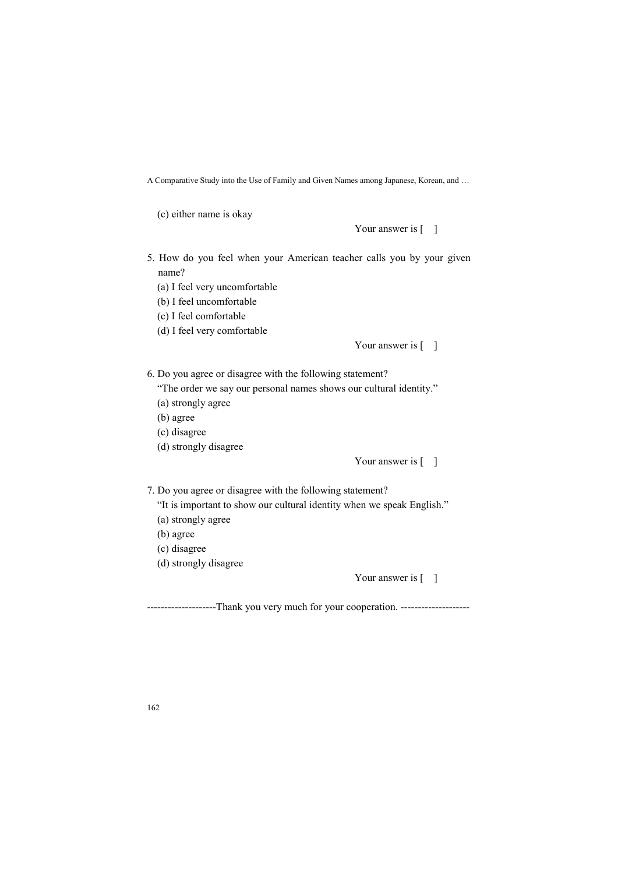(c) either name is okay

Your answer is  $\lceil \quad \rceil$ 

5. How do you feel when your American teacher calls you by your given name?

(a) I feel very uncomfortable

- (b) I feel uncomfortable
- (c) I feel comfortable
- (d) I feel very comfortable

Your answer is [ ]

6. Do you agree or disagree with the following statement?

"The order we say our personal names shows our cultural identity."

- (a) strongly agree
- (b) agree
- (c) disagree
- (d) strongly disagree

Your answer is  $\lceil \quad \rceil$ 

7. Do you agree or disagree with the following statement?

- "It is important to show our cultural identity when we speak English."
- (a) strongly agree
- (b) agree
- (c) disagree
- (d) strongly disagree

Your answer is [ ]

---------------------Thank you very much for your cooperation. --------------------